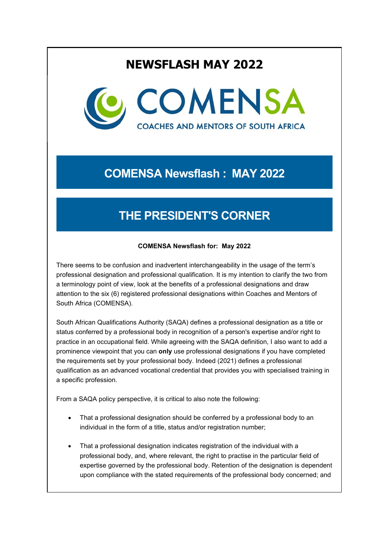# **NEWSFLASH MAY 2022**



# **COMENSA Newsflash : MAY 2022**

# **THE PRESIDENT'S CORNER**

### **COMENSA Newsflash for: May 2022**

There seems to be confusion and inadvertent interchangeability in the usage of the term's professional designation and professional qualification. It is my intention to clarify the two from a terminology point of view, look at the benefits of a professional designations and draw attention to the six (6) registered professional designations within Coaches and Mentors of South Africa (COMENSA).

South African Qualifications Authority (SAQA) defines a professional designation as a title or status conferred by a professional body in recognition of a person's expertise and/or right to practice in an occupational field. While agreeing with the SAQA definition, I also want to add a prominence viewpoint that you can **only** use professional designations if you have completed the requirements set by your professional body. Indeed (2021) defines a professional qualification as an advanced vocational credential that provides you with specialised training in a specific profession.

From a SAQA policy perspective, it is critical to also note the following:

- That a professional designation should be conferred by a professional body to an individual in the form of a title, status and/or registration number;
- That a professional designation indicates registration of the individual with a professional body, and, where relevant, the right to practise in the particular field of expertise governed by the professional body. Retention of the designation is dependent upon compliance with the stated requirements of the professional body concerned; and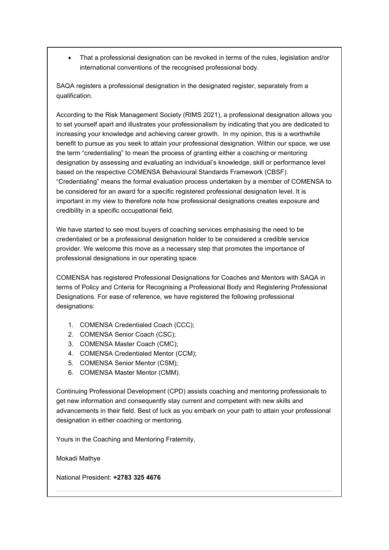• That a professional designation can be revoked in terms of the rules, legislation and/or international conventions of the recognised professional body.

SAQA registers a professional designation in the designated register, separately from a qualification.

According to the Risk Management Society (RIMS 2021), a professional designation allows you to set yourself apart and illustrates your professionalism by indicating that you are dedicated to increasing your knowledge and achieving career growth. In my opinion, this is a worthwhile benefit to pursue as you seek to attain your professional designation. Within our space, we use the term "credentialing" to mean the process of granting either a coaching or mentoring designation by assessing and evaluating an individual's knowledge, skill or performance level based on the respective COMENSA Behavioural Standards Framework (CBSF). "Credentialing" means the formal evaluation process undertaken by a member of COMENSA to be considered for an award for a specific registered professional designation level. It is important in my view to therefore note how professional designations creates exposure and credibility in a specific occupational field.

We have started to see most buyers of coaching services emphasising the need to be credentialed or be a professional designation holder to be considered a credible service provider. We welcome this move as a necessary step that promotes the importance of professional designations in our operating space.

COMENSA has registered Professional Designations for Coaches and Mentors with SAQA in terms of Policy and Criteria for Recognising a Professional Body and Registering Professional Designations. For ease of reference, we have registered the following professional designations:

- 1. COMENSA Credentialed Coach (CCC);
- 2. COMENSA Senior Coach (CSC);
- 3. COMENSA Master Coach (CMC);
- 4. COMENSA Credentialed Mentor (CCM);
- 5. COMENSA Senior Mentor (CSM);
- 6. COMENSA Master Mentor (CMM).

Continuing Professional Development (CPD) assists coaching and mentoring professionals to get new information and consequently stay current and competent with new skills and advancements in their field. Best of luck as you embark on your path to attain your professional designation in either coaching or mentoring.

Yours in the Coaching and Mentoring Fraternity,

Mokadi Mathye

National President: **+2783 325 4676**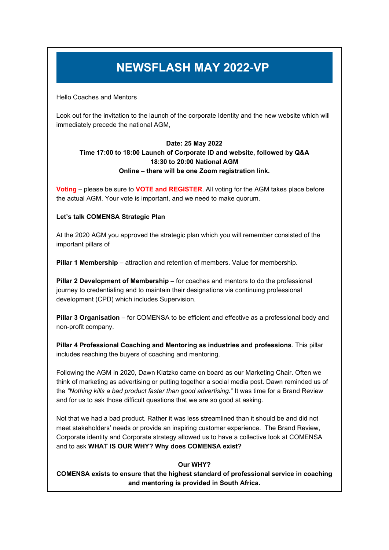# **NEWSFLASH MAY 2022-VP**

Hello Coaches and Mentors

Look out for the invitation to the launch of the corporate Identity and the new website which will immediately precede the national AGM,

### **Date: 25 May 2022 Time 17:00 to 18:00 Launch of Corporate ID and website, followed by Q&A 18:30 to 20:00 National AGM Online – there will be one Zoom registration link.**

**Voting** – please be sure to **VOTE and REGISTER**. All voting for the AGM takes place before the actual AGM. Your vote is important, and we need to make quorum.

### **Let's talk COMENSA Strategic Plan**

At the 2020 AGM you approved the strategic plan which you will remember consisted of the important pillars of

**Pillar 1 Membership** – attraction and retention of members. Value for membership.

**Pillar 2 Development of Membership** – for coaches and mentors to do the professional journey to credentialing and to maintain their designations via continuing professional development (CPD) which includes Supervision.

**Pillar 3 Organisation** – for COMENSA to be efficient and effective as a professional body and non-profit company.

**Pillar 4 Professional Coaching and Mentoring as industries and professions**. This pillar includes reaching the buyers of coaching and mentoring.

Following the AGM in 2020, Dawn Klatzko came on board as our Marketing Chair. Often we think of marketing as advertising or putting together a social media post. Dawn reminded us of the *"Nothing kills a bad product faster than good advertising."* It was time for a Brand Review and for us to ask those difficult questions that we are so good at asking.

Not that we had a bad product. Rather it was less streamlined than it should be and did not meet stakeholders' needs or provide an inspiring customer experience. The Brand Review, Corporate identity and Corporate strategy allowed us to have a collective look at COMENSA and to ask **WHAT IS OUR WHY? Why does COMENSA exist?**

### **Our WHY?**

**COMENSA exists to ensure that the highest standard of professional service in coaching and mentoring is provided in South Africa.**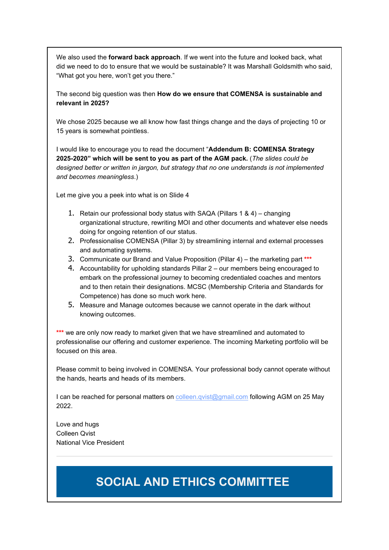We also used the **forward back approach**. If we went into the future and looked back, what did we need to do to ensure that we would be sustainable? It was Marshall Goldsmith who said, "What got you here, won't get you there."

The second big question was then **How do we ensure that COMENSA is sustainable and relevant in 2025?**

We chose 2025 because we all know how fast things change and the days of projecting 10 or 15 years is somewhat pointless.

I would like to encourage you to read the document "**Addendum B: COMENSA Strategy 2025-2020" which will be sent to you as part of the AGM pack.** (*The slides could be designed better or written in jargon, but strategy that no one understands is not implemented and becomes meaningless*.)

Let me give you a peek into what is on Slide 4

- 1. Retain our professional body status with SAQA (Pillars 1 & 4) changing organizational structure, rewriting MOI and other documents and whatever else needs doing for ongoing retention of our status.
- 2. Professionalise COMENSA (Pillar 3) by streamlining internal and external processes and automating systems.
- 3. Communicate our Brand and Value Proposition (Pillar 4) the marketing part **\*\*\***
- 4. Accountability for upholding standards Pillar 2 our members being encouraged to embark on the professional journey to becoming credentialed coaches and mentors and to then retain their designations. MCSC (Membership Criteria and Standards for Competence) has done so much work here.
- 5. Measure and Manage outcomes because we cannot operate in the dark without knowing outcomes.

**\*\*\*** we are only now ready to market given that we have streamlined and automated to professionalise our offering and customer experience. The incoming Marketing portfolio will be focused on this area.

Please commit to being involved in COMENSA. Your professional body cannot operate without the hands, hearts and heads of its members.

I can be reached for personal matters on [colleen.qvist@gmail.com](mailto:colleen.qvist@gmail.com) following AGM on 25 May 2022.

Love and hugs Colleen Qvist National Vice President

# **SOCIAL AND ETHICS COMMITTEE**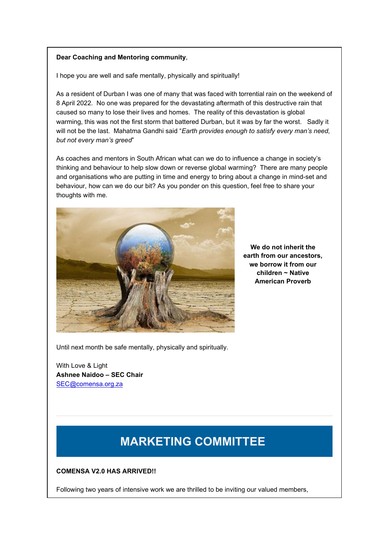### **Dear Coaching and Mentoring community**,

I hope you are well and safe mentally, physically and spiritually!

As a resident of Durban I was one of many that was faced with torrential rain on the weekend of 8 April 2022. No one was prepared for the devastating aftermath of this destructive rain that caused so many to lose their lives and homes. The reality of this devastation is global warming, this was not the first storm that battered Durban, but it was by far the worst. Sadly it will not be the last. Mahatma Gandhi said "*Earth provides enough to satisfy every man's need, but not every man's greed*"

As coaches and mentors in South African what can we do to influence a change in society's thinking and behaviour to help slow down or reverse global warming? There are many people and organisations who are putting in time and energy to bring about a change in mind-set and behaviour, how can we do our bit? As you ponder on this question, feel free to share your thoughts with me.



**We do not inherit the earth from our ancestors, we borrow it from our children ~ Native American Proverb**

Until next month be safe mentally, physically and spiritually.

With Love & Light **Ashnee Naidoo – SEC Chair** [SEC@comensa.org.za](mailto:SEC@comensa.org.za)

# **MARKETING COMMITTEE**

#### **COMENSA V2.0 HAS ARRIVED!!**

Following two years of intensive work we are thrilled to be inviting our valued members,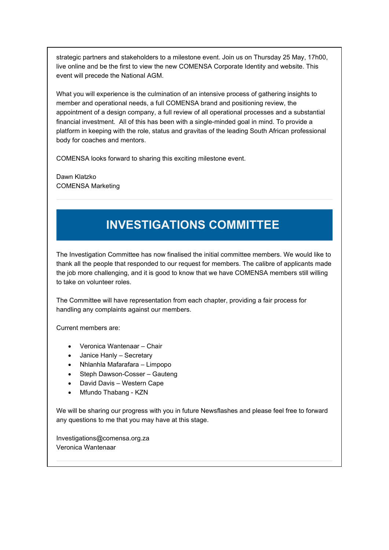strategic partners and stakeholders to a milestone event. Join us on Thursday 25 May, 17h00, live online and be the first to view the new COMENSA Corporate Identity and website. This event will precede the National AGM.

What you will experience is the culmination of an intensive process of gathering insights to member and operational needs, a full COMENSA brand and positioning review, the appointment of a design company, a full review of all operational processes and a substantial financial investment. All of this has been with a single-minded goal in mind. To provide a platform in keeping with the role, status and gravitas of the leading South African professional body for coaches and mentors.

COMENSA looks forward to sharing this exciting milestone event.

Dawn Klatzko COMENSA Marketing

# **INVESTIGATIONS COMMITTEE**

The Investigation Committee has now finalised the initial committee members. We would like to thank all the people that responded to our request for members. The calibre of applicants made the job more challenging, and it is good to know that we have COMENSA members still willing to take on volunteer roles.

The Committee will have representation from each chapter, providing a fair process for handling any complaints against our members.

Current members are:

- Veronica Wantenaar Chair
- Janice Hanly Secretary
- Nhlanhla Mafarafara Limpopo
- Steph Dawson-Cosser Gauteng
- David Davis Western Cape
- Mfundo Thabang KZN

We will be sharing our progress with you in future Newsflashes and please feel free to forward any questions to me that you may have at this stage.

Investigations@comensa.org.za Veronica Wantenaar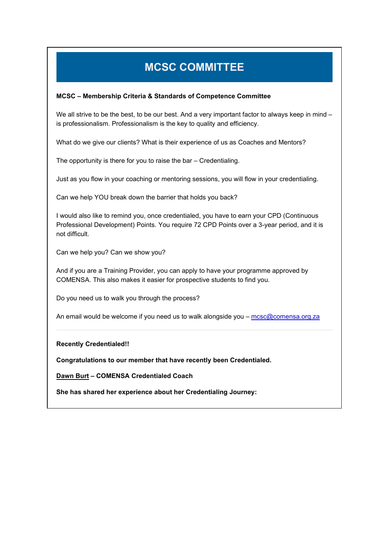# **MCSC COMMITTEE**

### **MCSC – Membership Criteria & Standards of Competence Committee**

We all strive to be the best, to be our best. And a very important factor to always keep in mind – is professionalism. Professionalism is the key to quality and efficiency.

What do we give our clients? What is their experience of us as Coaches and Mentors?

The opportunity is there for you to raise the bar – Credentialing.

Just as you flow in your coaching or mentoring sessions, you will flow in your credentialing.

Can we help YOU break down the barrier that holds you back?

I would also like to remind you, once credentialed, you have to earn your CPD (Continuous Professional Development) Points. You require 72 CPD Points over a 3-year period, and it is not difficult.

Can we help you? Can we show you?

And if you are a Training Provider, you can apply to have your programme approved by COMENSA. This also makes it easier for prospective students to find you.

Do you need us to walk you through the process?

An email would be welcome if you need us to walk alongside you – [mcsc@comensa.org.za](mailto:mcsc@comensa.org.za)

**Recently Credentialed!!**

**Congratulations to our member that have recently been Credentialed.**

**Dawn Burt – COMENSA Credentialed Coach**

**She has shared her experience about her Credentialing Journey:**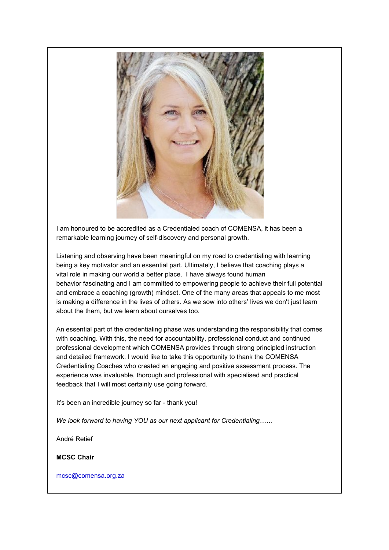

I am honoured to be accredited as a Credentialed coach of COMENSA, it has been a remarkable learning journey of self-discovery and personal growth.

Listening and observing have been meaningful on my road to credentialing with learning being a key motivator and an essential part. Ultimately, I believe that coaching plays a vital role in making our world a better place. I have always found human behavior fascinating and I am committed to empowering people to achieve their full potential and embrace a coaching (growth) mindset. One of the many areas that appeals to me most is making a difference in the lives of others. As we sow into others' lives we don't just learn about the them, but we learn about ourselves too.

An essential part of the credentialing phase was understanding the responsibility that comes with coaching. With this, the need for accountability, professional conduct and continued professional development which COMENSA provides through strong principled instruction and detailed framework. I would like to take this opportunity to thank the COMENSA Credentialing Coaches who created an engaging and positive assessment process. The experience was invaluable, thorough and professional with specialised and practical feedback that I will most certainly use going forward.

It's been an incredible journey so far - thank you!

*We look forward to having YOU as our next applicant for Credentialing……*

André Retief

**MCSC Chair**

[mcsc@comensa.org.za](mailto:mcsc@comensa.org.za)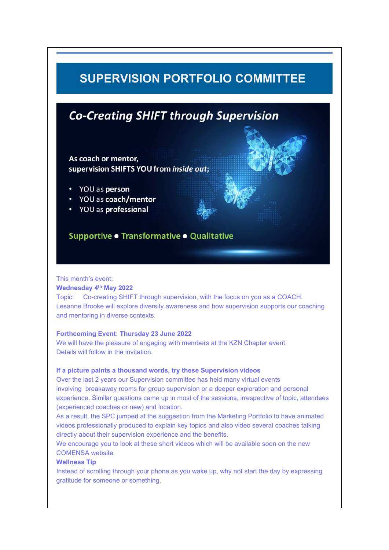## **SUPERVISION PORTFOLIO COMMITTEE**

## **Co-Creating SHIFT through Supervision**

As coach or mentor, supervision SHIFTS YOU from inside out:

- YOU as person
- YOU as coach/mentor
- YOU as professional

## Supportive • Transformative • Qualitative

#### This month's event:

#### **Wednesday 4th May 2022**

Topic: Co-creating SHIFT through supervision, with the focus on you as a COACH. Lesanne Brooke will explore diversity awareness and how supervision supports our coaching and mentoring in diverse contexts.

#### **Forthcoming Event: Thursday 23 June 2022**

We will have the pleasure of engaging with members at the KZN Chapter event. Details will follow in the invitation.

### **If a picture paints a thousand words, try these Supervision videos**

Over the last 2 years our Supervision committee has held many virtual events involving breakaway rooms for group supervision or a deeper exploration and personal experience. Similar questions came up in most of the sessions, irrespective of topic, attendees (experienced coaches or new) and location.

As a result, the SPC jumped at the suggestion from the Marketing Portfolio to have animated videos professionally produced to explain key topics and also video several coaches talking directly about their supervision experience and the benefits.

We encourage you to look at these short videos which will be available soon on the new COMENSA website.

### **Wellness Tip**

Instead of scrolling through your phone as you wake up, why not start the day by expressing gratitude for someone or something.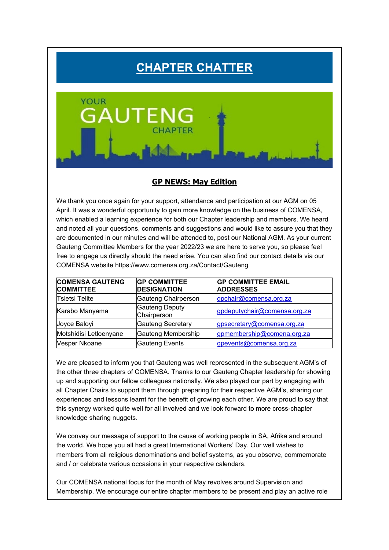# **CHAPTER CHATTER**



## **GP NEWS: May Edition**

We thank you once again for your support, attendance and participation at our AGM on 05 April. It was a wonderful opportunity to gain more knowledge on the business of COMENSA, which enabled a learning experience for both our Chapter leadership and members. We heard and noted all your questions, comments and suggestions and would like to assure you that they are documented in our minutes and will be attended to, post our National AGM. As your current Gauteng Committee Members for the year 2022/23 we are here to serve you, so please feel free to engage us directly should the need arise. You can also find our contact details via our COMENSA website https://www.comensa.org.za/Contact/Gauteng

| <b>COMENSA GAUTENG</b><br><b>COMMITTEE</b> | <b>GP COMMITTEE</b><br><b>DESIGNATION</b> | <b>GP COMMITTEE EMAIL</b><br><b>ADDRESSES</b> |
|--------------------------------------------|-------------------------------------------|-----------------------------------------------|
| Tsietsi Telite                             | Gauteng Chairperson                       | gpchair@comensa.org.za                        |
| Karabo Manyama                             | <b>Gauteng Deputy</b><br>Chairperson      | gpdeputychair@comensa.org.za                  |
| Joyce Baloyi                               | Gauteng Secretary                         | gpsecretary@comensa.org.za                    |
| Motshidisi Letloenyane                     | Gauteng Membership                        | gpmembership@comena.org.za                    |
| Vesper Nkoane                              | <b>Gauteng Events</b>                     | gpevents@comensa.org.za                       |

We are pleased to inform you that Gauteng was well represented in the subsequent AGM's of the other three chapters of COMENSA. Thanks to our Gauteng Chapter leadership for showing up and supporting our fellow colleagues nationally. We also played our part by engaging with all Chapter Chairs to support them through preparing for their respective AGM's, sharing our experiences and lessons learnt for the benefit of growing each other. We are proud to say that this synergy worked quite well for all involved and we look forward to more cross-chapter knowledge sharing nuggets.

We convey our message of support to the cause of working people in SA, Afrika and around the world. We hope you all had a great International Workers' Day. Our well wishes to members from all religious denominations and belief systems, as you observe, commemorate and / or celebrate various occasions in your respective calendars.

Our COMENSA national focus for the month of May revolves around Supervision and Membership. We encourage our entire chapter members to be present and play an active role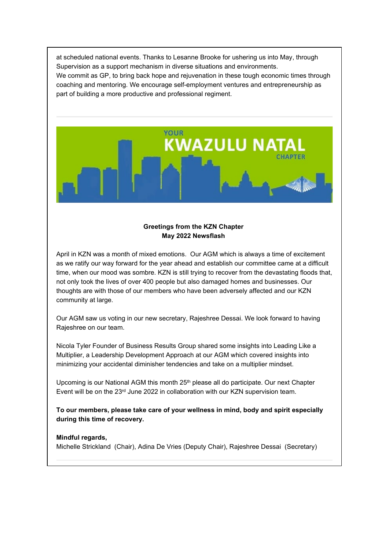at scheduled national events. Thanks to Lesanne Brooke for ushering us into May, through Supervision as a support mechanism in diverse situations and environments. We commit as GP, to bring back hope and rejuvenation in these tough economic times through coaching and mentoring. We encourage self-employment ventures and entrepreneurship as part of building a more productive and professional regiment.



### **Greetings from the KZN Chapter May 2022 Newsflash**

April in KZN was a month of mixed emotions. Our AGM which is always a time of excitement as we ratify our way forward for the year ahead and establish our committee came at a difficult time, when our mood was sombre. KZN is still trying to recover from the devastating floods that, not only took the lives of over 400 people but also damaged homes and businesses. Our thoughts are with those of our members who have been adversely affected and our KZN community at large.

Our AGM saw us voting in our new secretary, Rajeshree Dessai. We look forward to having Rajeshree on our team.

Nicola Tyler Founder of Business Results Group shared some insights into Leading Like a Multiplier, a Leadership Development Approach at our AGM which covered insights into minimizing your accidental diminisher tendencies and take on a multiplier mindset.

Upcoming is our National AGM this month  $25<sup>th</sup>$  please all do participate. Our next Chapter Event will be on the 23rd June 2022 in collaboration with our KZN supervision team.

**To our members, please take care of your wellness in mind, body and spirit especially during this time of recovery.**

### **Mindful regards,**

Michelle Strickland (Chair), Adina De Vries (Deputy Chair), Rajeshree Dessai (Secretary)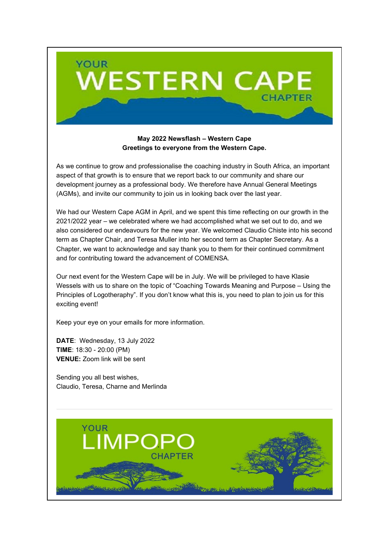

### **May 2022 Newsflash – Western Cape Greetings to everyone from the Western Cape.**

As we continue to grow and professionalise the coaching industry in South Africa, an important aspect of that growth is to ensure that we report back to our community and share our development journey as a professional body. We therefore have Annual General Meetings (AGMs), and invite our community to join us in looking back over the last year.

We had our Western Cape AGM in April, and we spent this time reflecting on our growth in the 2021/2022 year – we celebrated where we had accomplished what we set out to do, and we also considered our endeavours for the new year. We welcomed Claudio Chiste into his second term as Chapter Chair, and Teresa Muller into her second term as Chapter Secretary. As a Chapter, we want to acknowledge and say thank you to them for their continued commitment and for contributing toward the advancement of COMENSA.

Our next event for the Western Cape will be in July. We will be privileged to have Klasie Wessels with us to share on the topic of "Coaching Towards Meaning and Purpose – Using the Principles of Logotheraphy". If you don't know what this is, you need to plan to join us for this exciting event!

Keep your eye on your emails for more information.

**DATE**: Wednesday, 13 July 2022 **TIME**: 18:30 - 20:00 (PM) **VENUE:** Zoom link will be sent

Sending you all best wishes, Claudio, Teresa, Charne and Merlinda